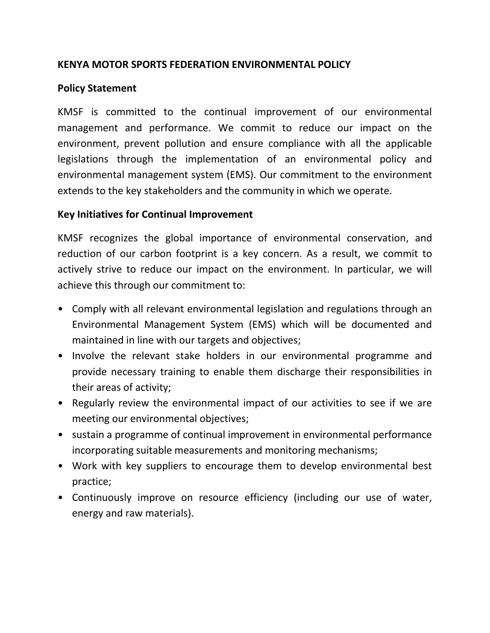## **KENYA MOTOR SPORTS FEDERATION ENVIRONMENTAL POLICY**

## **Policy Statement**

KMSF is committed to the continual improvement of our environmental management and performance. We commit to reduce our impact on the environment, prevent pollution and ensure compliance with all the applicable legislations through the implementation of an environmental policy and environmental management system (EMS). Our commitment to the environment extends to the key stakeholders and the community in which we operate.

## **Key Initiatives for Continual Improvement**

KMSF recognizes the global importance of environmental conservation, and reduction of our carbon footprint is a key concern. As a result, we commit to actively strive to reduce our impact on the environment. In particular, we will achieve this through our commitment to:

- Comply with all relevant environmental legislation and regulations through an Environmental Management System (EMS) which will be documented and maintained in line with our targets and objectives;
- Involve the relevant stake holders in our environmental programme and provide necessary training to enable them discharge their responsibilities in their areas of activity;
- Regularly review the environmental impact of our activities to see if we are meeting our environmental objectives;
- sustain a programme of continual improvement in environmental performance incorporating suitable measurements and monitoring mechanisms;
- Work with key suppliers to encourage them to develop environmental best practice;
- Continuously improve on resource efficiency (including our use of water, energy and raw materials).